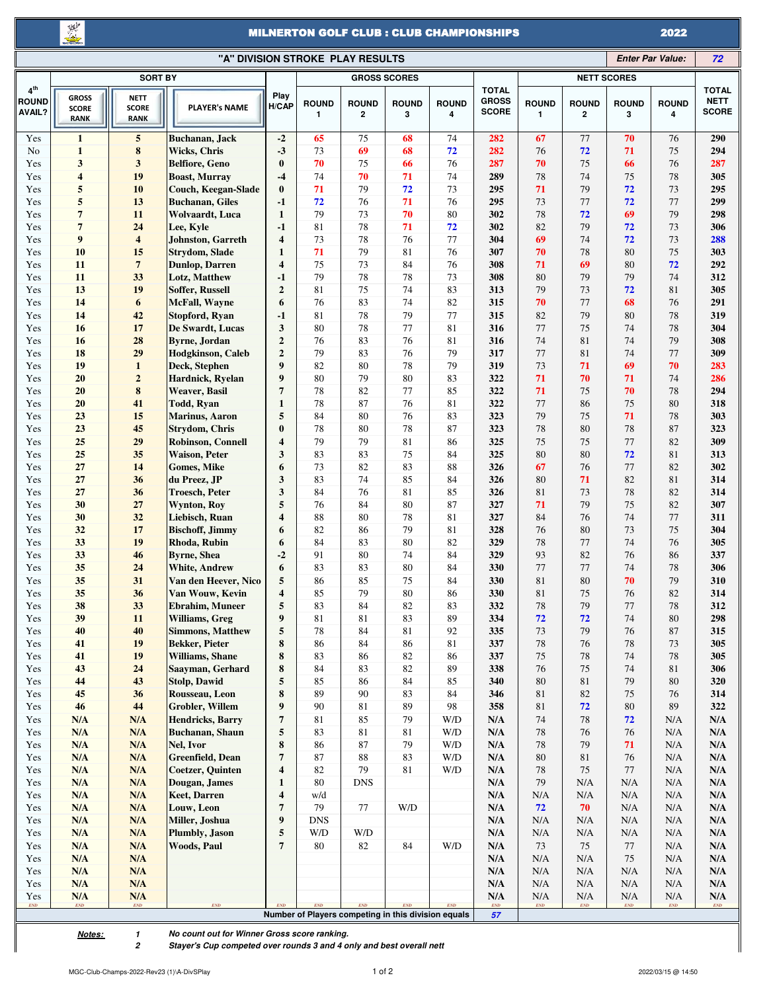X

## MILNERTON GOLF CLUB : CLUB CHAMPIONSHIPS 2022

|                                           | "A" DIVISION STROKE PLAY RESULTS<br><b>Enter Par Value:</b> |                                                        |                                                    |                                  |                   |                              |                                                     |                   |                                              |                                    |                                    | 72                                 |                                    |                                                        |
|-------------------------------------------|-------------------------------------------------------------|--------------------------------------------------------|----------------------------------------------------|----------------------------------|-------------------|------------------------------|-----------------------------------------------------|-------------------|----------------------------------------------|------------------------------------|------------------------------------|------------------------------------|------------------------------------|--------------------------------------------------------|
| <b>SORT BY</b>                            |                                                             |                                                        |                                                    |                                  |                   |                              | <b>GROSS SCORES</b>                                 |                   | <b>NETT SCORES</b>                           |                                    |                                    |                                    |                                    |                                                        |
| 4 <sup>th</sup><br><b>ROUND</b><br>AVAIL? | <b>GROSS</b><br><b>SCORE</b><br><b>RANK</b>                 | <b>NETT</b><br><b>SCORE</b><br><b>RANK</b>             | <b>PLAYER's NAME</b>                               | Play<br>H/CAP                    | <b>ROUND</b><br>1 | <b>ROUND</b><br>$\mathbf{2}$ | <b>ROUND</b><br>3                                   | <b>ROUND</b><br>4 | <b>TOTAL</b><br><b>GROSS</b><br><b>SCORE</b> | <b>ROUND</b><br>$\mathbf{1}$       | <b>ROUND</b><br>$\mathbf{2}$       | <b>ROUND</b><br>3                  | <b>ROUND</b><br>4                  | <b>TOTAL</b><br><b>NETT</b><br><b>SCORE</b>            |
| Yes                                       | $\mathbf{1}$                                                | $\sqrt{5}$                                             | Buchanan, Jack                                     | $-2$                             | 65                | 75                           | 68                                                  | 74                | 282                                          | 67                                 | 77                                 | 70                                 | 76                                 | 290                                                    |
| No                                        | $\mathbf{1}$                                                | 8                                                      | <b>Wicks, Chris</b>                                | $-3$                             | 73                | 69                           | 68                                                  | 72                | 282                                          | 76                                 | 72                                 | 71                                 | 75                                 | 294                                                    |
| Yes                                       | 3                                                           | $\mathbf{3}$                                           | <b>Belfiore, Geno</b>                              | $\bf{0}$                         | 70                | 75                           | 66                                                  | 76                | 287                                          | 70                                 | 75                                 | 66                                 | 76                                 | 287                                                    |
| Yes                                       | $\overline{\bf{4}}$                                         | 19                                                     | <b>Boast, Murray</b>                               | $-4$                             | 74                | 70                           | 71                                                  | 74                | 289                                          | 78                                 | 74                                 | 75                                 | 78                                 | 305                                                    |
| Yes                                       | 5<br>5                                                      | 10<br>13                                               | Couch, Keegan-Slade<br><b>Buchanan</b> , Giles     | $\bf{0}$<br>$-1$                 | 71<br>72          | 79<br>76                     | 72<br>71                                            | 73<br>76          | 295<br>295                                   | 71<br>73                           | 79<br>77                           | 72<br>72                           | 73<br>77                           | 295<br>299                                             |
| Yes<br>Yes                                | $\overline{7}$                                              | 11                                                     | Wolvaardt, Luca                                    | $\mathbf{1}$                     | 79                | 73                           | 70                                                  | 80                | 302                                          | 78                                 | 72                                 | 69                                 | 79                                 | 298                                                    |
| Yes                                       | $\overline{7}$                                              | 24                                                     | Lee, Kyle                                          | $-1$                             | 81                | 78                           | 71                                                  | 72                | 302                                          | 82                                 | 79                                 | 72                                 | 73                                 | 306                                                    |
| Yes                                       | 9                                                           | $\overline{\mathbf{4}}$                                | Johnston, Garreth                                  | $\overline{\bf 4}$               | 73                | 78                           | 76                                                  | 77                | 304                                          | 69                                 | 74                                 | 72                                 | 73                                 | 288                                                    |
| Yes                                       | 10                                                          | 15                                                     | <b>Strydom, Slade</b>                              | $\mathbf{1}$                     | 71                | 79                           | 81                                                  | 76                | 307                                          | 70                                 | 78                                 | 80                                 | 75                                 | 303                                                    |
| Yes                                       | 11                                                          | $\overline{7}$                                         | <b>Dunlop</b> , Darren                             | 4                                | 75                | 73                           | 84                                                  | 76                | 308                                          | 71                                 | 69                                 | 80                                 | 72                                 | 292                                                    |
| Yes                                       | 11                                                          | 33                                                     | Lotz, Matthew                                      | $-1$                             | 79                | 78                           | 78                                                  | 73                | 308                                          | 80                                 | 79                                 | 79                                 | 74                                 | 312                                                    |
| Yes                                       | 13                                                          | 19                                                     | Soffer, Russell                                    | $\mathbf{2}$                     | 81                | 75                           | 74                                                  | 83                | 313                                          | 79                                 | 73                                 | 72                                 | 81                                 | 305                                                    |
| Yes                                       | 14                                                          | 6                                                      | McFall, Wayne                                      | 6                                | 76                | 83                           | 74                                                  | 82                | 315                                          | 70                                 | 77                                 | 68                                 | 76                                 | 291                                                    |
| Yes                                       | 14                                                          | 42                                                     | <b>Stopford, Ryan</b>                              | $-1$                             | 81                | 78                           | 79                                                  | 77                | 315                                          | 82                                 | 79                                 | 80                                 | 78                                 | 319                                                    |
| Yes                                       | 16                                                          | 17                                                     | De Swardt, Lucas                                   | 3                                | 80                | 78                           | 77                                                  | 81                | 316                                          | 77<br>74                           | 75<br>81                           | 74                                 | 78                                 | 304                                                    |
| Yes<br>Yes                                | 16<br>18                                                    | 28<br>29                                               | <b>Byrne</b> , Jordan<br><b>Hodgkinson</b> , Caleb | $\boldsymbol{2}$<br>$\mathbf{2}$ | 76<br>79          | 83<br>83                     | 76<br>76                                            | 81<br>79          | 316<br>317                                   | 77                                 | 81                                 | 74<br>74                           | 79<br>77                           | 308<br>309                                             |
| Yes                                       | 19                                                          | $\mathbf{1}$                                           | Deck, Stephen                                      | 9                                | 82                | 80                           | 78                                                  | 79                | 319                                          | 73                                 | 71                                 | 69                                 | 70                                 | 283                                                    |
| Yes                                       | 20                                                          | $\bf{2}$                                               | Hardnick, Ryelan                                   | 9                                | 80                | 79                           | 80                                                  | 83                | 322                                          | 71                                 | 70                                 | 71                                 | 74                                 | 286                                                    |
| Yes                                       | 20                                                          | 8                                                      | <b>Weaver</b> , Basil                              | $\overline{7}$                   | 78                | 82                           | 77                                                  | 85                | 322                                          | 71                                 | 75                                 | 70                                 | 78                                 | 294                                                    |
| Yes                                       | 20                                                          | 41                                                     | Todd, Ryan                                         | $\mathbf{1}$                     | 78                | 87                           | 76                                                  | 81                | 322                                          | 77                                 | 86                                 | 75                                 | 80                                 | 318                                                    |
| Yes                                       | 23                                                          | 15                                                     | <b>Marinus</b> , Aaron                             | 5                                | 84                | 80                           | 76                                                  | 83                | 323                                          | 79                                 | 75                                 | 71                                 | 78                                 | 303                                                    |
| Yes                                       | 23                                                          | 45                                                     | <b>Strydom, Chris</b>                              | $\bf{0}$                         | 78                | 80                           | 78                                                  | 87                | 323                                          | 78                                 | 80                                 | 78                                 | 87                                 | 323                                                    |
| Yes                                       | 25                                                          | 29                                                     | <b>Robinson, Connell</b>                           | 4                                | 79                | 79                           | 81                                                  | 86                | 325                                          | 75                                 | 75                                 | 77                                 | 82                                 | 309                                                    |
| Yes                                       | 25                                                          | 35                                                     | <b>Waison, Peter</b>                               | 3                                | 83                | 83                           | 75                                                  | 84                | 325                                          | 80                                 | 80                                 | 72                                 | 81                                 | 313                                                    |
| Yes                                       | 27                                                          | 14                                                     | Gomes, Mike                                        | 6                                | 73                | 82                           | 83                                                  | 88                | 326                                          | 67                                 | 76                                 | 77                                 | 82                                 | 302                                                    |
| Yes                                       | 27                                                          | 36                                                     | du Preez, JP                                       | 3<br>3                           | 83                | 74                           | 85                                                  | 84                | 326                                          | 80                                 | 71                                 | 82                                 | 81                                 | 314                                                    |
| Yes<br>Yes                                | 27<br>30                                                    | 36<br>27                                               | <b>Troesch, Peter</b><br><b>Wynton, Roy</b>        | 5                                | 84<br>76          | 76<br>84                     | 81<br>80                                            | 85<br>87          | 326<br>327                                   | 81<br>71                           | 73<br>79                           | 78<br>75                           | 82<br>82                           | 314<br>307                                             |
| Yes                                       | 30                                                          | 32                                                     | Liebisch, Ruan                                     | $\overline{\bf 4}$               | 88                | 80                           | 78                                                  | 81                | 327                                          | 84                                 | 76                                 | 74                                 | 77                                 | 311                                                    |
| Yes                                       | 32                                                          | 17                                                     | <b>Bischoff, Jimmy</b>                             | 6                                | 82                | 86                           | 79                                                  | 81                | 328                                          | 76                                 | 80                                 | 73                                 | 75                                 | 304                                                    |
| Yes                                       | 33                                                          | 19                                                     | Rhoda, Rubin                                       | 6                                | 84                | 83                           | 80                                                  | 82                | 329                                          | 78                                 | 77                                 | 74                                 | 76                                 | 305                                                    |
| Yes                                       | 33                                                          | 46                                                     | Byrne, Shea                                        | $-2$                             | 91                | 80                           | 74                                                  | 84                | 329                                          | 93                                 | 82                                 | 76                                 | 86                                 | 337                                                    |
| Yes                                       | 35                                                          | 24                                                     | White, Andrew                                      | 6                                | 83                | 83                           | 80                                                  | 84                | 330                                          | 77                                 | 77                                 | 74                                 | 78                                 | 306                                                    |
| Yes                                       | 35                                                          | 31                                                     | Van den Heever, Nico                               | 5                                | 86                | 85                           | 75                                                  | 84                | 330                                          | 81                                 | 80                                 | 70                                 | 79                                 | 310                                                    |
| Yes                                       | 35                                                          | 36                                                     | Van Wouw, Kevin                                    | $\overline{\bf 4}$               | 85                | 79                           | 80                                                  | 86                | 330                                          | 81                                 | 75                                 | 76                                 | 82                                 | 314                                                    |
| Yes                                       | 38                                                          | 33                                                     | <b>Ebrahim</b> , Muneer                            | 5                                | 83                | 84                           | 82                                                  | 83                | 332                                          | 78                                 | 79                                 | 77                                 | 78                                 | 312                                                    |
| Yes                                       | 39                                                          | 11                                                     | Williams, Greg                                     | 9                                | 81                | $81\,$                       | 83                                                  | 89                | 334                                          | 72                                 | 72                                 | 74                                 | 80                                 | 298                                                    |
| Yes<br>Yes                                | 40<br>41                                                    | 40<br>19                                               | <b>Simmons, Matthew</b><br><b>Bekker</b> , Pieter  | 5<br>8                           | 78<br>86          | 84<br>84                     | 81<br>86                                            | 92<br>81          | 335<br>337                                   | 73<br>78                           | 79<br>76                           | 76<br>78                           | 87<br>73                           | 315<br>305                                             |
| Yes                                       | 41                                                          | 19                                                     | Williams, Shane                                    | 8                                | 83                | 86                           | 82                                                  | 86                | 337                                          | 75                                 | 78                                 | 74                                 | 78                                 | 305                                                    |
| Yes                                       | 43                                                          | 24                                                     | Saayman, Gerhard                                   | 8                                | 84                | 83                           | 82                                                  | 89                | 338                                          | 76                                 | 75                                 | 74                                 | 81                                 | 306                                                    |
| Yes                                       | 44                                                          | 43                                                     | <b>Stolp, Dawid</b>                                | 5                                | 85                | 86                           | 84                                                  | 85                | 340                                          | 80                                 | 81                                 | 79                                 | 80                                 | 320                                                    |
| Yes                                       | 45                                                          | 36                                                     | Rousseau, Leon                                     | 8                                | 89                | $90\,$                       | 83                                                  | 84                | 346                                          | 81                                 | 82                                 | 75                                 | 76                                 | 314                                                    |
| Yes                                       | 46                                                          | 44                                                     | <b>Grobler, Willem</b>                             | 9                                | 90                | 81                           | 89                                                  | 98                | 358                                          | 81                                 | 72                                 | 80                                 | 89                                 | 322                                                    |
| Yes                                       | N/A                                                         | N/A                                                    | <b>Hendricks</b> , Barry                           | 7                                | 81                | 85                           | 79                                                  | W/D               | N/A                                          | 74                                 | 78                                 | 72                                 | N/A                                | N/A                                                    |
| Yes                                       | N/A                                                         | N/A                                                    | Buchanan, Shaun                                    | 5                                | 83                | 81                           | 81                                                  | W/D               | N/A                                          | 78                                 | 76                                 | 76                                 | N/A                                | $\mathbf{N}/\mathbf{A}$                                |
| Yes                                       | N/A                                                         | N/A                                                    | Nel, Ivor                                          | 8                                | 86                | 87                           | 79                                                  | W/D               | N/A                                          | 78                                 | 79                                 | 71                                 | N/A                                | $\mathbf{N}/\mathbf{A}$                                |
| Yes                                       | N/A                                                         | N/A                                                    | Greenfield, Dean                                   | $\overline{\mathbf{7}}$          | 87                | 88                           | 83                                                  | W/D               | N/A                                          | 80                                 | 81                                 | 76                                 | N/A                                | $\mathbf{N}/\mathbf{A}$                                |
| Yes<br>Yes                                | N/A<br>N/A                                                  | N/A<br>N/A                                             | <b>Coetzer</b> , Quinten<br>Dougan, James          | 4<br>$\mathbf{1}$                | 82<br>80          | 79<br><b>DNS</b>             | 81                                                  | W/D               | N/A<br>N/A                                   | $78\,$<br>79                       | 75<br>N/A                          | 77<br>N/A                          | N/A<br>N/A                         | N/A<br>$\mathbf{N}/\mathbf{A}$                         |
| Yes                                       | N/A                                                         | N/A                                                    | <b>Keet, Darren</b>                                | $\overline{\mathbf{4}}$          | w/d               |                              |                                                     |                   | N/A                                          | N/A                                | N/A                                | N/A                                | N/A                                | $\mathbf{N}/\mathbf{A}$                                |
| Yes                                       | N/A                                                         | N/A                                                    | Louw, Leon                                         | $\overline{\mathbf{7}}$          | 79                | 77                           | $\mathrm{W}/\mathrm{D}$                             |                   | N/A                                          | 72                                 | 70                                 | N/A                                | N/A                                | $\mathbf{N}/\mathbf{A}$                                |
| Yes                                       | N/A                                                         | N/A                                                    | Miller, Joshua                                     | 9                                | <b>DNS</b>        |                              |                                                     |                   | N/A                                          | N/A                                | N/A                                | N/A                                | N/A                                | N/A                                                    |
| Yes                                       | N/A                                                         | N/A                                                    | Plumbly, Jason                                     | 5                                | W/D               | W/D                          |                                                     |                   | N/A                                          | N/A                                | N/A                                | N/A                                | N/A                                | $\mathbf{N}/\mathbf{A}$                                |
| Yes                                       | N/A                                                         | N/A                                                    | <b>Woods, Paul</b>                                 | $\overline{7}$                   | 80                | 82                           | 84                                                  | W/D               | N/A                                          | 73                                 | 75                                 | 77                                 | N/A                                | N/A                                                    |
| Yes                                       | N/A                                                         | N/A                                                    |                                                    |                                  |                   |                              |                                                     |                   | N/A                                          | N/A                                | N/A                                | 75                                 | N/A                                | N/A                                                    |
| Yes                                       | N/A                                                         | N/A                                                    |                                                    |                                  |                   |                              |                                                     |                   | N/A                                          | N/A                                | N/A                                | N/A                                | N/A                                | $\mathbf{N}/\mathbf{A}$                                |
| Yes                                       | N/A                                                         | $\mathbf{N}/\mathbf{A}$                                |                                                    |                                  |                   |                              |                                                     |                   | N/A                                          | N/A                                | N/A                                | N/A                                | N/A                                | $\mathbf{N}/\mathbf{A}$                                |
| Yes<br>$\ensuremath{\textit{END}}$        | N/A<br>$\ensuremath{\mathit{END}}$                          | $\mathbf{N}/\mathbf{A}$<br>$\ensuremath{\textit{END}}$ | END                                                | <b>END</b>                       | <b>END</b>        | $\ensuremath{\textit{END}}$  | END                                                 | END               | N/A<br>$\ensuremath{\textit{END}}$           | N/A<br>$\ensuremath{\textit{END}}$ | N/A<br>$\ensuremath{\textit{END}}$ | N/A<br>$\ensuremath{\textit{END}}$ | N/A<br>$\ensuremath{\textit{END}}$ | $\mathbf{N}/\mathbf{A}$<br>$\ensuremath{\textit{END}}$ |
|                                           |                                                             |                                                        |                                                    |                                  |                   |                              | Number of Players competing in this division equals |                   | 57                                           |                                    |                                    |                                    |                                    |                                                        |

*Notes: 1*

*No count out for Winner Gross score ranking.* 

*Stayer's Cup competed over rounds 3 and 4 only and best overall nett*

*2*